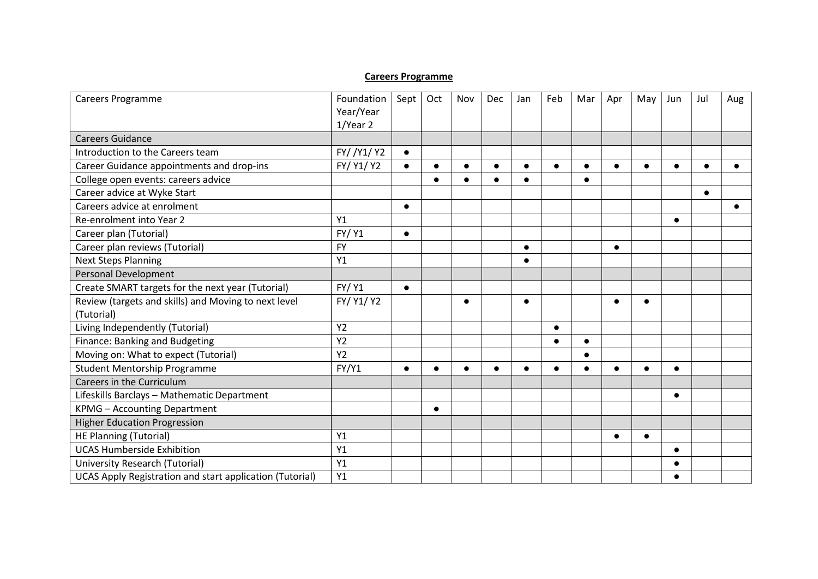## **Careers Programme**

| Careers Programme                                        | Foundation<br>Year/Year<br>1/Year 2 | Sept      | Oct       | Nov       | Dec       | Jan       | Feb       | Mar       | Apr       | May       | Jun       | Jul        | Aug |
|----------------------------------------------------------|-------------------------------------|-----------|-----------|-----------|-----------|-----------|-----------|-----------|-----------|-----------|-----------|------------|-----|
| <b>Careers Guidance</b>                                  |                                     |           |           |           |           |           |           |           |           |           |           |            |     |
| Introduction to the Careers team                         | FY//Y1/Y2                           | $\bullet$ |           |           |           |           |           |           |           |           |           |            |     |
| Career Guidance appointments and drop-ins                | FY/ Y1/ Y2                          | $\bullet$ | $\bullet$ | $\bullet$ | $\bullet$ | $\bullet$ |           | $\bullet$ |           | $\bullet$ | $\bullet$ | $\epsilon$ |     |
| College open events: careers advice                      |                                     |           | $\bullet$ |           |           | $\bullet$ |           | $\bullet$ |           |           |           |            |     |
| Career advice at Wyke Start                              |                                     |           |           |           |           |           |           |           |           |           |           | $\bullet$  |     |
| Careers advice at enrolment                              |                                     | $\bullet$ |           |           |           |           |           |           |           |           |           |            |     |
| Re-enrolment into Year 2                                 | Y1                                  |           |           |           |           |           |           |           |           |           | $\bullet$ |            |     |
| Career plan (Tutorial)                                   | <b>FY/ Y1</b>                       | $\bullet$ |           |           |           |           |           |           |           |           |           |            |     |
| Career plan reviews (Tutorial)                           | <b>FY</b>                           |           |           |           |           | $\bullet$ |           |           | $\bullet$ |           |           |            |     |
| <b>Next Steps Planning</b>                               | Y1                                  |           |           |           |           |           |           |           |           |           |           |            |     |
| <b>Personal Development</b>                              |                                     |           |           |           |           |           |           |           |           |           |           |            |     |
| Create SMART targets for the next year (Tutorial)        | <b>FY/ Y1</b>                       | $\bullet$ |           |           |           |           |           |           |           |           |           |            |     |
| Review (targets and skills) and Moving to next level     | FY/ Y1/ Y2                          |           |           | $\bullet$ |           |           |           |           |           |           |           |            |     |
| (Tutorial)                                               |                                     |           |           |           |           |           |           |           |           |           |           |            |     |
| Living Independently (Tutorial)                          | <b>Y2</b>                           |           |           |           |           |           |           |           |           |           |           |            |     |
| Finance: Banking and Budgeting                           | Y <sub>2</sub>                      |           |           |           |           |           | $\bullet$ | $\bullet$ |           |           |           |            |     |
| Moving on: What to expect (Tutorial)                     | <b>Y2</b>                           |           |           |           |           |           |           | $\bullet$ |           |           |           |            |     |
| Student Mentorship Programme                             | FY/Y1                               | $\bullet$ | $\bullet$ | $\bullet$ |           |           |           | $\bullet$ |           |           | $\bullet$ |            |     |
| Careers in the Curriculum                                |                                     |           |           |           |           |           |           |           |           |           |           |            |     |
| Lifeskills Barclays - Mathematic Department              |                                     |           |           |           |           |           |           |           |           |           | $\bullet$ |            |     |
| <b>KPMG - Accounting Department</b>                      |                                     |           | $\bullet$ |           |           |           |           |           |           |           |           |            |     |
| <b>Higher Education Progression</b>                      |                                     |           |           |           |           |           |           |           |           |           |           |            |     |
| <b>HE Planning (Tutorial)</b>                            | Y1                                  |           |           |           |           |           |           |           |           | $\bullet$ |           |            |     |
| <b>UCAS Humberside Exhibition</b>                        | Y1                                  |           |           |           |           |           |           |           |           |           | $\bullet$ |            |     |
| University Research (Tutorial)                           | Y1                                  |           |           |           |           |           |           |           |           |           | $\bullet$ |            |     |
| UCAS Apply Registration and start application (Tutorial) | Y1                                  |           |           |           |           |           |           |           |           |           |           |            |     |